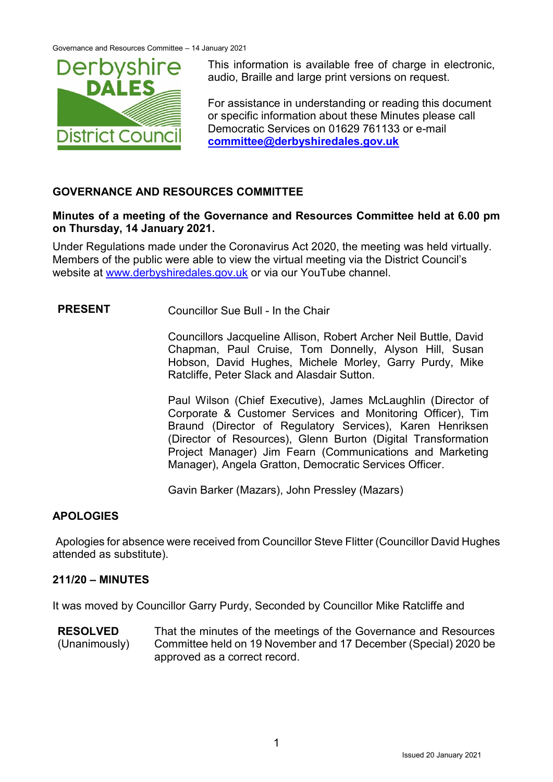

This information is available free of charge in electronic, audio, Braille and large print versions on request.

For assistance in understanding or reading this document or specific information about these Minutes please call Democratic Services on 01629 761133 or e-mail **[committee@derbyshiredales.gov.uk](mailto:committee@derbyshiredales.gov.uk)**

# **GOVERNANCE AND RESOURCES COMMITTEE**

### **Minutes of a meeting of the Governance and Resources Committee held at 6.00 pm on Thursday, 14 January 2021.**

Under Regulations made under the Coronavirus Act 2020, the meeting was held virtually. Members of the public were able to view the virtual meeting via the District Council's website at [www.derbyshiredales.gov.uk](http://www.derbyshiredales.gov.uk/) or via our YouTube channel.

# **PRESENT** Councillor Sue Bull - In the Chair

Councillors Jacqueline Allison, Robert Archer Neil Buttle, David Chapman, Paul Cruise, Tom Donnelly, Alyson Hill, Susan Hobson, David Hughes, Michele Morley, Garry Purdy, Mike Ratcliffe, Peter Slack and Alasdair Sutton.

Paul Wilson (Chief Executive), James McLaughlin (Director of Corporate & Customer Services and Monitoring Officer), Tim Braund (Director of Regulatory Services), Karen Henriksen (Director of Resources), Glenn Burton (Digital Transformation Project Manager) Jim Fearn (Communications and Marketing Manager), Angela Gratton, Democratic Services Officer.

Gavin Barker (Mazars), John Pressley (Mazars)

# **APOLOGIES**

Apologies for absence were received from Councillor Steve Flitter (Councillor David Hughes attended as substitute).

# **211/20 – MINUTES**

It was moved by Councillor Garry Purdy, Seconded by Councillor Mike Ratcliffe and

**RESOLVED** (Unanimously) That the minutes of the meetings of the Governance and Resources Committee held on 19 November and 17 December (Special) 2020 be approved as a correct record.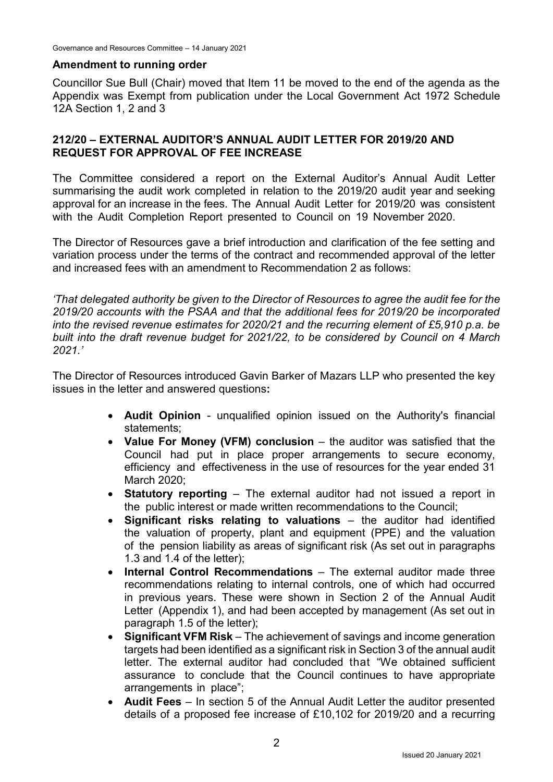#### **Amendment to running order**

Councillor Sue Bull (Chair) moved that Item 11 be moved to the end of the agenda as the Appendix was Exempt from publication under the Local Government Act 1972 Schedule 12A Section 1, 2 and 3

### **212/20 – EXTERNAL AUDITOR'S ANNUAL AUDIT LETTER FOR 2019/20 AND REQUEST FOR APPROVAL OF FEE INCREASE**

The Committee considered a report on the External Auditor's Annual Audit Letter summarising the audit work completed in relation to the 2019/20 audit year and seeking approval for an increase in the fees. The Annual Audit Letter for 2019/20 was consistent with the Audit Completion Report presented to Council on 19 November 2020.

The Director of Resources gave a brief introduction and clarification of the fee setting and variation process under the terms of the contract and recommended approval of the letter and increased fees with an amendment to Recommendation 2 as follows:

*'That delegated authority be given to the Director of Resources to agree the audit fee for the 2019/20 accounts with the PSAA and that the additional fees for 2019/20 be incorporated into the revised revenue estimates for 2020/21 and the recurring element of £5,910 p.a. be built into the draft revenue budget for 2021/22, to be considered by Council on 4 March 2021.'*

The Director of Resources introduced Gavin Barker of Mazars LLP who presented the key issues in the letter and answered questions**:**

- **Audit Opinion** unqualified opinion issued on the Authority's financial statements;
- **Value For Money (VFM) conclusion** the auditor was satisfied that the Council had put in place proper arrangements to secure economy, efficiency and effectiveness in the use of resources for the year ended 31 March 2020;
- **Statutory reporting** The external auditor had not issued a report in the public interest or made written recommendations to the Council;
- **Significant risks relating to valuations** the auditor had identified the valuation of property, plant and equipment (PPE) and the valuation of the pension liability as areas of significant risk (As set out in paragraphs 1.3 and 1.4 of the letter);
- **Internal Control Recommendations** The external auditor made three recommendations relating to internal controls, one of which had occurred in previous years. These were shown in Section 2 of the Annual Audit Letter (Appendix 1), and had been accepted by management (As set out in paragraph 1.5 of the letter);
- **Significant VFM Risk** The achievement of savings and income generation targets had been identified as a significant risk in Section 3 of the annual audit letter. The external auditor had concluded that "We obtained sufficient assurance to conclude that the Council continues to have appropriate arrangements in place";
- **Audit Fees** In section 5 of the Annual Audit Letter the auditor presented details of a proposed fee increase of £10,102 for 2019/20 and a recurring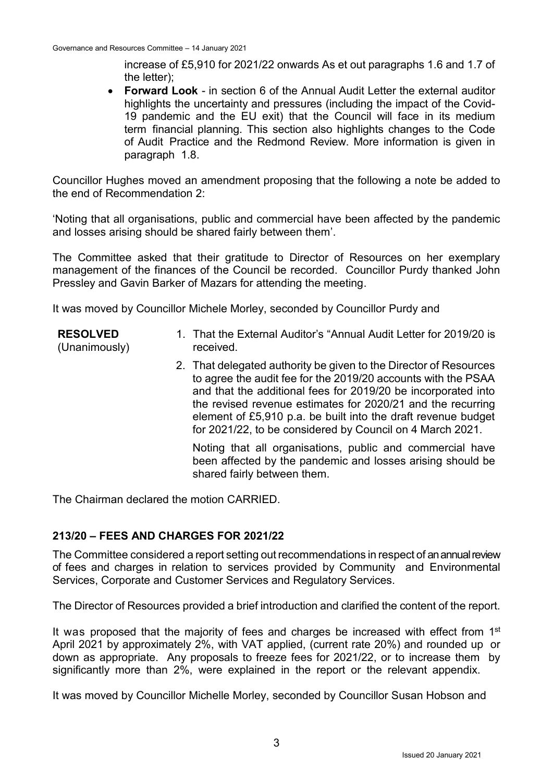increase of £5,910 for 2021/22 onwards As et out paragraphs 1.6 and 1.7 of the letter);

 **Forward Look** - in section 6 of the Annual Audit Letter the external auditor highlights the uncertainty and pressures (including the impact of the Covid-19 pandemic and the EU exit) that the Council will face in its medium term financial planning. This section also highlights changes to the Code of Audit Practice and the Redmond Review. More information is given in paragraph 1.8.

Councillor Hughes moved an amendment proposing that the following a note be added to the end of Recommendation 2:

'Noting that all organisations, public and commercial have been affected by the pandemic and losses arising should be shared fairly between them'.

The Committee asked that their gratitude to Director of Resources on her exemplary management of the finances of the Council be recorded. Councillor Purdy thanked John Pressley and Gavin Barker of Mazars for attending the meeting.

It was moved by Councillor Michele Morley, seconded by Councillor Purdy and

- 1. That the External Auditor's "Annual Audit Letter for 2019/20 is received.
	- 2. That delegated authority be given to the Director of Resources to agree the audit fee for the 2019/20 accounts with the PSAA and that the additional fees for 2019/20 be incorporated into the revised revenue estimates for 2020/21 and the recurring element of £5,910 p.a. be built into the draft revenue budget for 2021/22, to be considered by Council on 4 March 2021.

Noting that all organisations, public and commercial have been affected by the pandemic and losses arising should be shared fairly between them.

The Chairman declared the motion CARRIED.

**RESOLVED** (Unanimously)

#### **213/20 – FEES AND CHARGES FOR 2021/22**

The Committee considered a report setting outrecommendations in respect of an annual review of fees and charges in relation to services provided by Community and Environmental Services, Corporate and Customer Services and Regulatory Services.

The Director of Resources provided a brief introduction and clarified the content of the report.

It was proposed that the majority of fees and charges be increased with effect from 1<sup>st</sup> April 2021 by approximately 2%, with VAT applied, (current rate 20%) and rounded up or down as appropriate. Any proposals to freeze fees for 2021/22, or to increase them by significantly more than 2%, were explained in the report or the relevant appendix.

It was moved by Councillor Michelle Morley, seconded by Councillor Susan Hobson and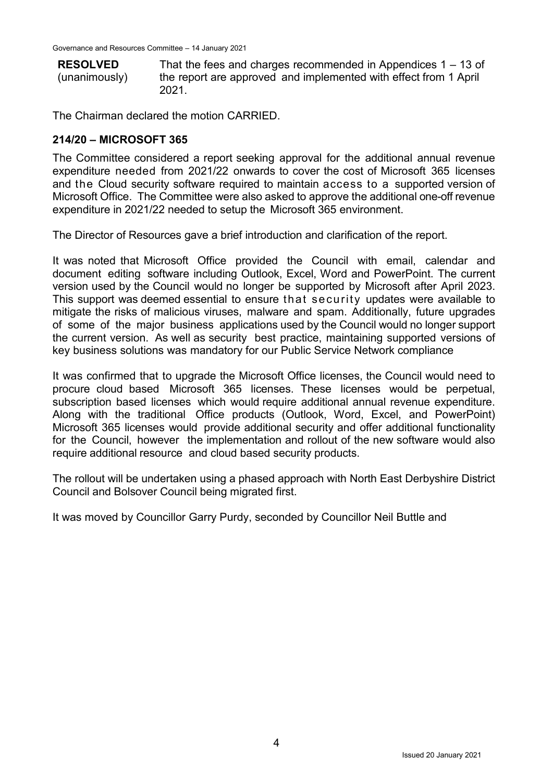**RESOLVED**

(unanimously)

That the fees and charges recommended in Appendices 1 – 13 of the report are approved and implemented with effect from 1 April 2021.

The Chairman declared the motion CARRIED.

# **214/20 – MICROSOFT 365**

The Committee considered a report seeking approval for the additional annual revenue expenditure needed from 2021/22 onwards to cover the cost of Microsoft 365 licenses and the Cloud security software required to maintain access to a supported version of Microsoft Office. The Committee were also asked to approve the additional one-off revenue expenditure in 2021/22 needed to setup the Microsoft 365 environment.

The Director of Resources gave a brief introduction and clarification of the report.

It was noted that Microsoft Office provided the Council with email, calendar and document editing software including Outlook, Excel, Word and PowerPoint. The current version used by the Council would no longer be supported by Microsoft after April 2023. This support was deemed essential to ensure that security updates were available to mitigate the risks of malicious viruses, malware and spam. Additionally, future upgrades of some of the major business applications used by the Council would no longer support the current version. As well as security best practice, maintaining supported versions of key business solutions was mandatory for our Public Service Network compliance

It was confirmed that to upgrade the Microsoft Office licenses, the Council would need to procure cloud based Microsoft 365 licenses. These licenses would be perpetual, subscription based licenses which would require additional annual revenue expenditure. Along with the traditional Office products (Outlook, Word, Excel, and PowerPoint) Microsoft 365 licenses would provide additional security and offer additional functionality for the Council, however the implementation and rollout of the new software would also require additional resource and cloud based security products.

The rollout will be undertaken using a phased approach with North East Derbyshire District Council and Bolsover Council being migrated first.

It was moved by Councillor Garry Purdy, seconded by Councillor Neil Buttle and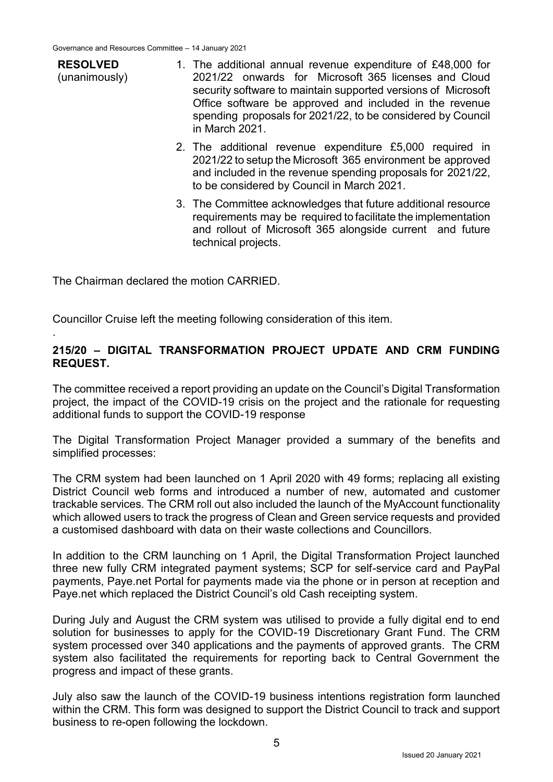**RESOLVED** (unanimously)

.

1. The additional annual revenue expenditure of £48,000 for 2021/22 onwards for Microsoft 365 licenses and Cloud security software to maintain supported versions of Microsoft Office software be approved and included in the revenue spending proposals for 2021/22, to be considered by Council in March 2021.

- 2. The additional revenue expenditure £5,000 required in 2021/22 to setup the Microsoft 365 environment be approved and included in the revenue spending proposals for 2021/22, to be considered by Council in March 2021.
- 3. The Committee acknowledges that future additional resource requirements may be required to facilitate the implementation and rollout of Microsoft 365 alongside current and future technical projects.

The Chairman declared the motion CARRIED.

Councillor Cruise left the meeting following consideration of this item.

### **215/20 – DIGITAL TRANSFORMATION PROJECT UPDATE AND CRM FUNDING REQUEST.**

The committee received a report providing an update on the Council's Digital Transformation project, the impact of the COVID-19 crisis on the project and the rationale for requesting additional funds to support the COVID-19 response

The Digital Transformation Project Manager provided a summary of the benefits and simplified processes:

The CRM system had been launched on 1 April 2020 with 49 forms; replacing all existing District Council web forms and introduced a number of new, automated and customer trackable services. The CRM roll out also included the launch of the MyAccount functionality which allowed users to track the progress of Clean and Green service requests and provided a customised dashboard with data on their waste collections and Councillors.

In addition to the CRM launching on 1 April, the Digital Transformation Project launched three new fully CRM integrated payment systems; SCP for self-service card and PayPal payments, Paye.net Portal for payments made via the phone or in person at reception and Paye.net which replaced the District Council's old Cash receipting system.

During July and August the CRM system was utilised to provide a fully digital end to end solution for businesses to apply for the COVID-19 Discretionary Grant Fund. The CRM system processed over 340 applications and the payments of approved grants. The CRM system also facilitated the requirements for reporting back to Central Government the progress and impact of these grants.

July also saw the launch of the COVID-19 business intentions registration form launched within the CRM. This form was designed to support the District Council to track and support business to re-open following the lockdown.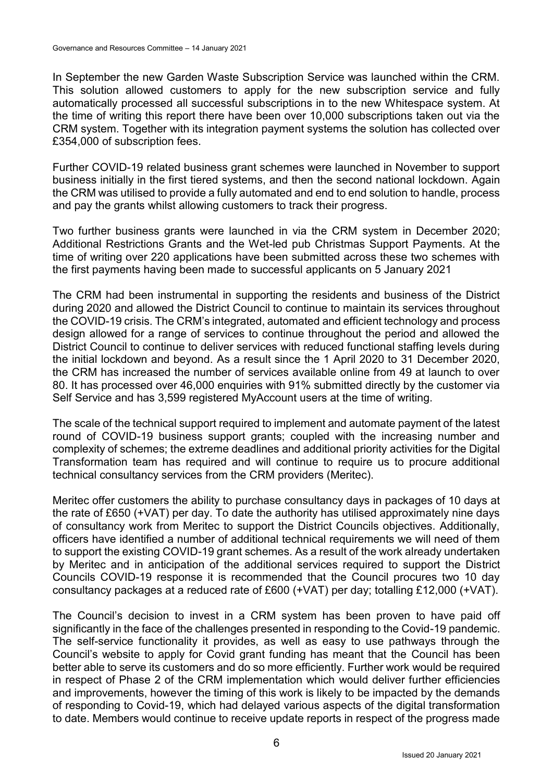In September the new Garden Waste Subscription Service was launched within the CRM. This solution allowed customers to apply for the new subscription service and fully automatically processed all successful subscriptions in to the new Whitespace system. At the time of writing this report there have been over 10,000 subscriptions taken out via the CRM system. Together with its integration payment systems the solution has collected over £354,000 of subscription fees.

Further COVID-19 related business grant schemes were launched in November to support business initially in the first tiered systems, and then the second national lockdown. Again the CRM was utilised to provide a fully automated and end to end solution to handle, process and pay the grants whilst allowing customers to track their progress.

Two further business grants were launched in via the CRM system in December 2020; Additional Restrictions Grants and the Wet-led pub Christmas Support Payments. At the time of writing over 220 applications have been submitted across these two schemes with the first payments having been made to successful applicants on 5 January 2021

The CRM had been instrumental in supporting the residents and business of the District during 2020 and allowed the District Council to continue to maintain its services throughout the COVID-19 crisis. The CRM's integrated, automated and efficient technology and process design allowed for a range of services to continue throughout the period and allowed the District Council to continue to deliver services with reduced functional staffing levels during the initial lockdown and beyond. As a result since the 1 April 2020 to 31 December 2020, the CRM has increased the number of services available online from 49 at launch to over 80. It has processed over 46,000 enquiries with 91% submitted directly by the customer via Self Service and has 3,599 registered MyAccount users at the time of writing.

The scale of the technical support required to implement and automate payment of the latest round of COVID-19 business support grants; coupled with the increasing number and complexity of schemes; the extreme deadlines and additional priority activities for the Digital Transformation team has required and will continue to require us to procure additional technical consultancy services from the CRM providers (Meritec).

Meritec offer customers the ability to purchase consultancy days in packages of 10 days at the rate of £650 (+VAT) per day. To date the authority has utilised approximately nine days of consultancy work from Meritec to support the District Councils objectives. Additionally, officers have identified a number of additional technical requirements we will need of them to support the existing COVID-19 grant schemes. As a result of the work already undertaken by Meritec and in anticipation of the additional services required to support the District Councils COVID-19 response it is recommended that the Council procures two 10 day consultancy packages at a reduced rate of £600 (+VAT) per day; totalling £12,000 (+VAT).

The Council's decision to invest in a CRM system has been proven to have paid off significantly in the face of the challenges presented in responding to the Covid-19 pandemic. The self-service functionality it provides, as well as easy to use pathways through the Council's website to apply for Covid grant funding has meant that the Council has been better able to serve its customers and do so more efficiently. Further work would be required in respect of Phase 2 of the CRM implementation which would deliver further efficiencies and improvements, however the timing of this work is likely to be impacted by the demands of responding to Covid-19, which had delayed various aspects of the digital transformation to date. Members would continue to receive update reports in respect of the progress made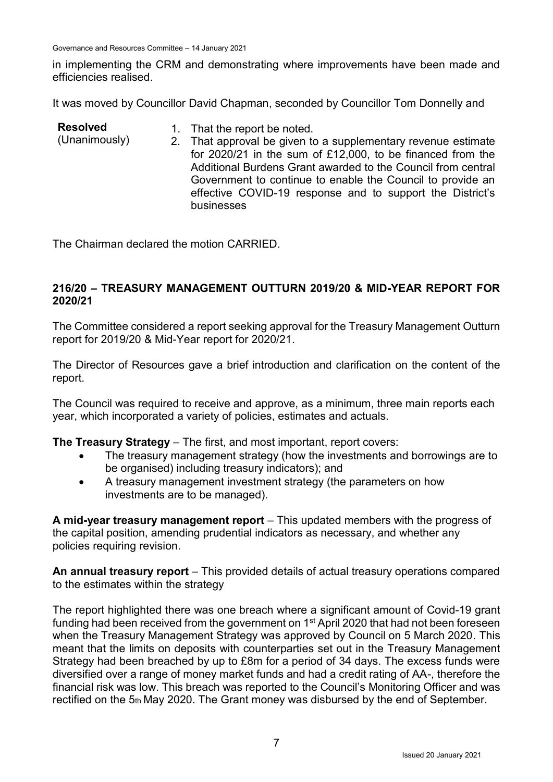Governance and Resources Committee – 14 January 2021

in implementing the CRM and demonstrating where improvements have been made and efficiencies realised.

It was moved by Councillor David Chapman, seconded by Councillor Tom Donnelly and

| <b>Resolved</b><br>(Unanimously) | 1. That the report be noted.<br>2. That approval be given to a supplementary revenue estimate<br>for 2020/21 in the sum of £12,000, to be financed from the<br>Additional Burdens Grant awarded to the Council from central<br>Government to continue to enable the Council to provide an<br>effective COVID-19 response and to support the District's |
|----------------------------------|--------------------------------------------------------------------------------------------------------------------------------------------------------------------------------------------------------------------------------------------------------------------------------------------------------------------------------------------------------|
|                                  | businesses                                                                                                                                                                                                                                                                                                                                             |

The Chairman declared the motion CARRIED.

### **216/20 – TREASURY MANAGEMENT OUTTURN 2019/20 & MID-YEAR REPORT FOR 2020/21**

The Committee considered a report seeking approval for the Treasury Management Outturn report for 2019/20 & Mid-Year report for 2020/21.

The Director of Resources gave a brief introduction and clarification on the content of the report.

The Council was required to receive and approve, as a minimum, three main reports each year, which incorporated a variety of policies, estimates and actuals.

**The Treasury Strategy** – The first, and most important, report covers:

- The treasury management strategy (how the investments and borrowings are to be organised) including treasury indicators); and
- A treasury management investment strategy (the parameters on how investments are to be managed).

**A mid-year treasury management report** – This updated members with the progress of the capital position, amending prudential indicators as necessary, and whether any policies requiring revision.

**An annual treasury report** – This provided details of actual treasury operations compared to the estimates within the strategy

The report highlighted there was one breach where a significant amount of Covid-19 grant funding had been received from the government on 1<sup>st</sup> April 2020 that had not been foreseen when the Treasury Management Strategy was approved by Council on 5 March 2020. This meant that the limits on deposits with counterparties set out in the Treasury Management Strategy had been breached by up to £8m for a period of 34 days. The excess funds were diversified over a range of money market funds and had a credit rating of AA-, therefore the financial risk was low. This breach was reported to the Council's Monitoring Officer and was rectified on the 5th May 2020. The Grant money was disbursed by the end of September.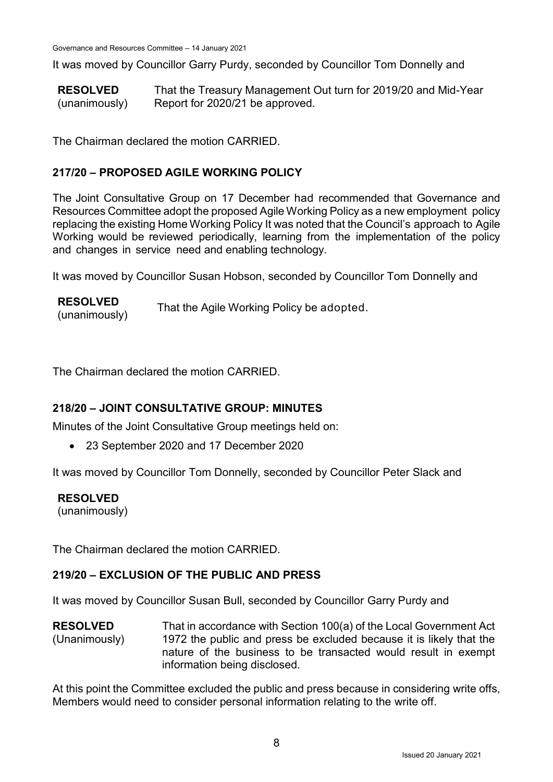It was moved by Councillor Garry Purdy, seconded by Councillor Tom Donnelly and

**RESOLVED** (unanimously) That the Treasury Management Out turn for 2019/20 and Mid-Year Report for 2020/21 be approved.

The Chairman declared the motion CARRIED.

# **217/20 – PROPOSED AGILE WORKING POLICY**

The Joint Consultative Group on 17 December had recommended that Governance and Resources Committee adopt the proposed Agile Working Policy as a new employment policy replacing the existing Home Working Policy It was noted that the Council's approach to Agile Working would be reviewed periodically, learning from the implementation of the policy and changes in service need and enabling technology.

It was moved by Councillor Susan Hobson, seconded by Councillor Tom Donnelly and

**RESOLVED** KESULVED<br>(unanimously) That the Agile Working Policy be adopted.

The Chairman declared the motion CARRIED.

# **218/20 – JOINT CONSULTATIVE GROUP: MINUTES**

Minutes of the Joint Consultative Group meetings held on:

23 September 2020 and 17 December 2020

It was moved by Councillor Tom Donnelly, seconded by Councillor Peter Slack and

#### **RESOLVED**

(unanimously)

The Chairman declared the motion CARRIED.

#### **219/20 – EXCLUSION OF THE PUBLIC AND PRESS**

It was moved by Councillor Susan Bull, seconded by Councillor Garry Purdy and

**RESOLVED** (Unanimously) That in accordance with Section 100(a) of the Local Government Act 1972 the public and press be excluded because it is likely that the nature of the business to be transacted would result in exempt information being disclosed.

At this point the Committee excluded the public and press because in considering write offs, Members would need to consider personal information relating to the write off.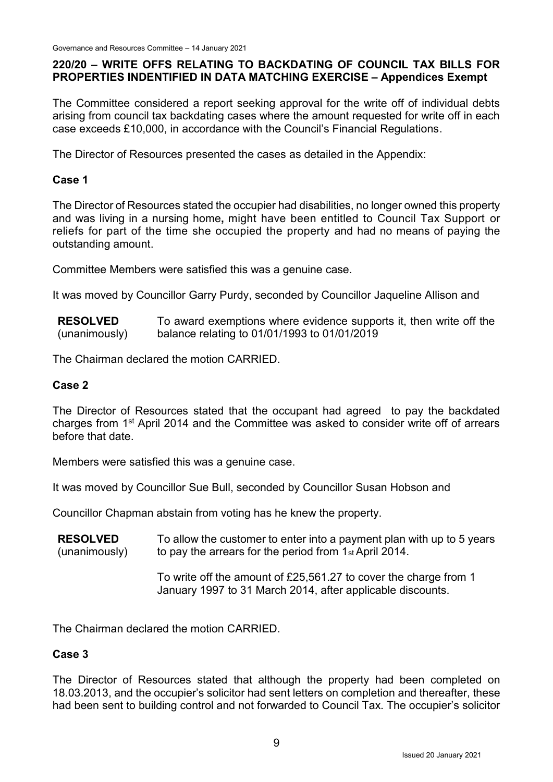### **220/20 – WRITE OFFS RELATING TO BACKDATING OF COUNCIL TAX BILLS FOR PROPERTIES INDENTIFIED IN DATA MATCHING EXERCISE – Appendices Exempt**

The Committee considered a report seeking approval for the write off of individual debts arising from council tax backdating cases where the amount requested for write off in each case exceeds £10,000, in accordance with the Council's Financial Regulations.

The Director of Resources presented the cases as detailed in the Appendix:

# **Case 1**

The Director of Resources stated the occupier had disabilities, no longer owned this property and was living in a nursing home**,** might have been entitled to Council Tax Support or reliefs for part of the time she occupied the property and had no means of paying the outstanding amount.

Committee Members were satisfied this was a genuine case.

It was moved by Councillor Garry Purdy, seconded by Councillor Jaqueline Allison and

**RESOLVED** (unanimously) To award exemptions where evidence supports it, then write off the balance relating to 01/01/1993 to 01/01/2019

The Chairman declared the motion CARRIED.

#### **Case 2**

The Director of Resources stated that the occupant had agreed to pay the backdated charges from 1st April 2014 and the Committee was asked to consider write off of arrears before that date.

Members were satisfied this was a genuine case.

It was moved by Councillor Sue Bull, seconded by Councillor Susan Hobson and

Councillor Chapman abstain from voting has he knew the property.

**RESOLVED** (unanimously) To allow the customer to enter into a payment plan with up to 5 years to pay the arrears for the period from 1st April 2014.

To write off the amount of £25,561.27 to cover the charge from 1 January 1997 to 31 March 2014, after applicable discounts.

The Chairman declared the motion CARRIED.

#### **Case 3**

The Director of Resources stated that although the property had been completed on 18.03.2013, and the occupier's solicitor had sent letters on completion and thereafter, these had been sent to building control and not forwarded to Council Tax. The occupier's solicitor